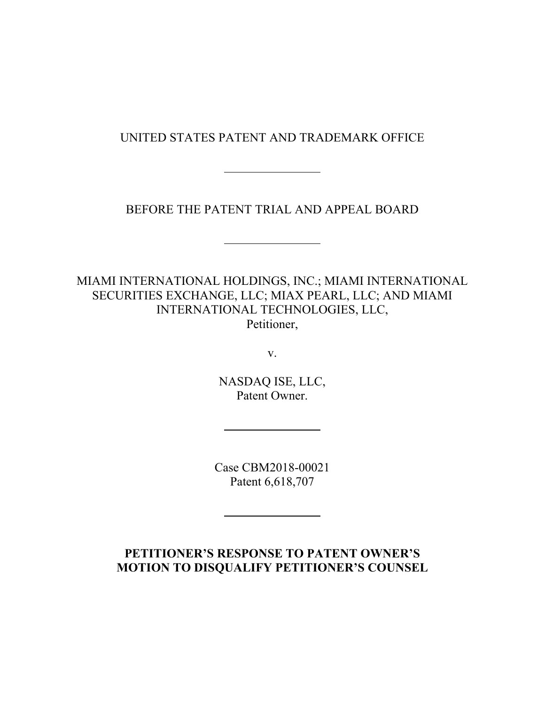UNITED STATES PATENT AND TRADEMARK OFFICE

 $\overline{a}$ 

 $\overline{a}$ 

 $\overline{a}$ 

 $\overline{a}$ 

# BEFORE THE PATENT TRIAL AND APPEAL BOARD

MIAMI INTERNATIONAL HOLDINGS, INC.; MIAMI INTERNATIONAL SECURITIES EXCHANGE, LLC; MIAX PEARL, LLC; AND MIAMI INTERNATIONAL TECHNOLOGIES, LLC, Petitioner,

v.

NASDAQ ISE, LLC, Patent Owner.

Case CBM2018-00021 Patent 6,618,707

## **PETITIONER'S RESPONSE TO PATENT OWNER'S MOTION TO DISQUALIFY PETITIONER'S COUNSEL**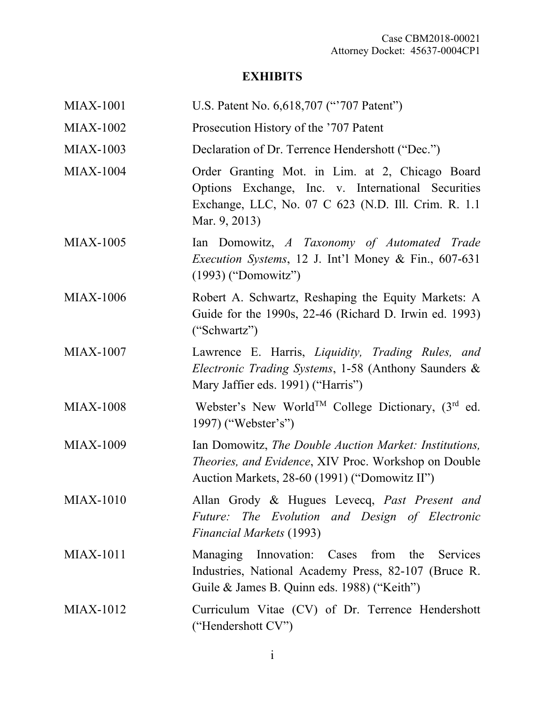# **EXHIBITS**

| <b>MIAX-1001</b> | U.S. Patent No. 6,618,707 ("707 Patent")                                                                                                                                       |
|------------------|--------------------------------------------------------------------------------------------------------------------------------------------------------------------------------|
| <b>MIAX-1002</b> | Prosecution History of the '707 Patent                                                                                                                                         |
| <b>MIAX-1003</b> | Declaration of Dr. Terrence Hendershott ("Dec.")                                                                                                                               |
| <b>MIAX-1004</b> | Order Granting Mot. in Lim. at 2, Chicago Board<br>Options Exchange, Inc. v. International Securities<br>Exchange, LLC, No. 07 C 623 (N.D. Ill. Crim. R. 1.1)<br>Mar. 9, 2013) |
| <b>MIAX-1005</b> | Ian Domowitz, A Taxonomy of Automated Trade<br><i>Execution Systems</i> , 12 J. Int'l Money & Fin., 607-631<br>(1993) ("Domowitz")                                             |
| <b>MIAX-1006</b> | Robert A. Schwartz, Reshaping the Equity Markets: A<br>Guide for the 1990s, 22-46 (Richard D. Irwin ed. 1993)<br>("Schwartz")                                                  |
| <b>MIAX-1007</b> | Lawrence E. Harris, Liquidity, Trading Rules, and<br>Electronic Trading Systems, 1-58 (Anthony Saunders &<br>Mary Jaffier eds. 1991) ("Harris")                                |
| <b>MIAX-1008</b> | Webster's New World <sup>TM</sup> College Dictionary, $(3rd$ ed.<br>1997) ("Webster's")                                                                                        |
| <b>MIAX-1009</b> | Ian Domowitz, The Double Auction Market: Institutions,<br>Theories, and Evidence, XIV Proc. Workshop on Double<br>Auction Markets, 28-60 (1991) ("Domowitz II")                |
| <b>MIAX-1010</b> | Allan Grody & Hugues Levecq, Past Present and<br>Future: The Evolution and Design of Electronic<br><b>Financial Markets (1993)</b>                                             |
| <b>MIAX-1011</b> | Managing Innovation: Cases from the Services<br>Industries, National Academy Press, 82-107 (Bruce R.<br>Guile & James B. Quinn eds. 1988) ("Keith")                            |
| <b>MIAX-1012</b> | Curriculum Vitae (CV) of Dr. Terrence Hendershott<br>("Hendershott CV")                                                                                                        |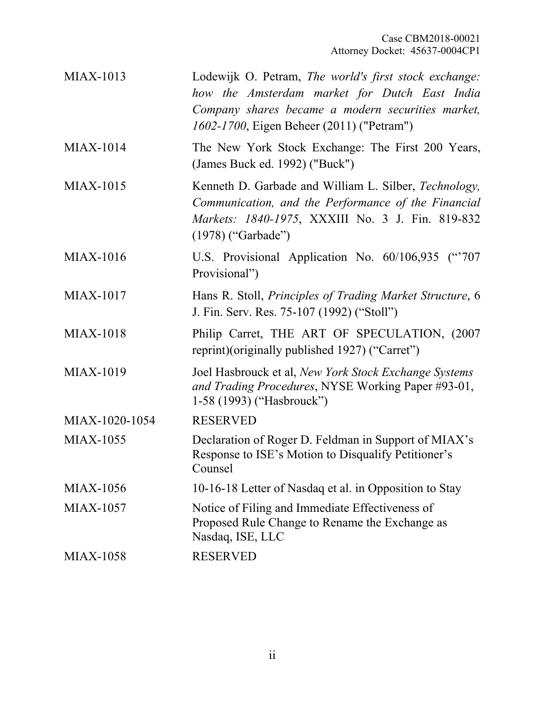| <b>MIAX-1013</b> | Lodewijk O. Petram, The world's first stock exchange:<br>how the Amsterdam market for Dutch East India<br>Company shares became a modern securities market,<br>1602-1700, Eigen Beheer (2011) ("Petram") |
|------------------|----------------------------------------------------------------------------------------------------------------------------------------------------------------------------------------------------------|
| <b>MIAX-1014</b> | The New York Stock Exchange: The First 200 Years,<br>(James Buck ed. 1992) ("Buck")                                                                                                                      |
| <b>MIAX-1015</b> | Kenneth D. Garbade and William L. Silber, Technology,<br>Communication, and the Performance of the Financial<br>Markets: 1840-1975, XXXIII No. 3 J. Fin. 819-832<br>$(1978)$ ("Garbade")                 |
| <b>MIAX-1016</b> | U.S. Provisional Application No. 60/106,935 ("707<br>Provisional")                                                                                                                                       |
| <b>MIAX-1017</b> | Hans R. Stoll, <i>Principles of Trading Market Structure</i> , 6<br>J. Fin. Serv. Res. 75-107 (1992) ("Stoll")                                                                                           |
| <b>MIAX-1018</b> | Philip Carret, THE ART OF SPECULATION, (2007)<br>reprint)(originally published 1927) ("Carret")                                                                                                          |
| <b>MIAX-1019</b> | Joel Hasbrouck et al, New York Stock Exchange Systems<br>and Trading Procedures, NYSE Working Paper #93-01,<br>1-58 (1993) ("Hasbrouck")                                                                 |
| MIAX-1020-1054   | <b>RESERVED</b>                                                                                                                                                                                          |
| <b>MIAX-1055</b> | Declaration of Roger D. Feldman in Support of MIAX's<br>Response to ISE's Motion to Disqualify Petitioner's<br>Counsel                                                                                   |
| <b>MIAX-1056</b> | 10-16-18 Letter of Nasdaq et al. in Opposition to Stay                                                                                                                                                   |
| <b>MIAX-1057</b> | Notice of Filing and Immediate Effectiveness of<br>Proposed Rule Change to Rename the Exchange as<br>Nasdaq, ISE, LLC                                                                                    |
| <b>MIAX-1058</b> | <b>RESERVED</b>                                                                                                                                                                                          |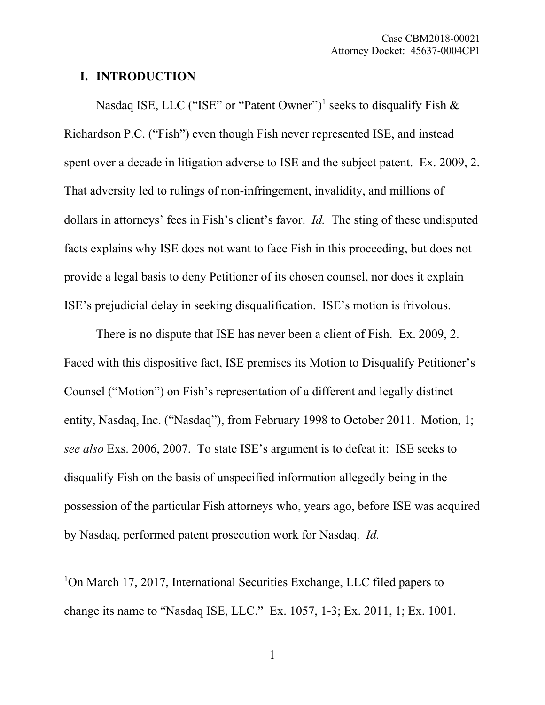## **I. INTRODUCTION**

Nasdaq ISE, LLC ("ISE" or "Patent Owner")<sup>1</sup> seeks to disqualify Fish  $\&$ Richardson P.C. ("Fish") even though Fish never represented ISE, and instead spent over a decade in litigation adverse to ISE and the subject patent. Ex. 2009, 2. That adversity led to rulings of non-infringement, invalidity, and millions of dollars in attorneys' fees in Fish's client's favor. *Id.* The sting of these undisputed facts explains why ISE does not want to face Fish in this proceeding, but does not provide a legal basis to deny Petitioner of its chosen counsel, nor does it explain ISE's prejudicial delay in seeking disqualification. ISE's motion is frivolous.

There is no dispute that ISE has never been a client of Fish. Ex. 2009, 2. Faced with this dispositive fact, ISE premises its Motion to Disqualify Petitioner's Counsel ("Motion") on Fish's representation of a different and legally distinct entity, Nasdaq, Inc. ("Nasdaq"), from February 1998 to October 2011. Motion, 1; *see also* Exs. 2006, 2007. To state ISE's argument is to defeat it: ISE seeks to disqualify Fish on the basis of unspecified information allegedly being in the possession of the particular Fish attorneys who, years ago, before ISE was acquired by Nasdaq, performed patent prosecution work for Nasdaq. *Id.*

<sup>&</sup>lt;sup>1</sup>On March 17, 2017, International Securities Exchange, LLC filed papers to change its name to "Nasdaq ISE, LLC." Ex. 1057, 1-3; Ex. 2011, 1; Ex. 1001.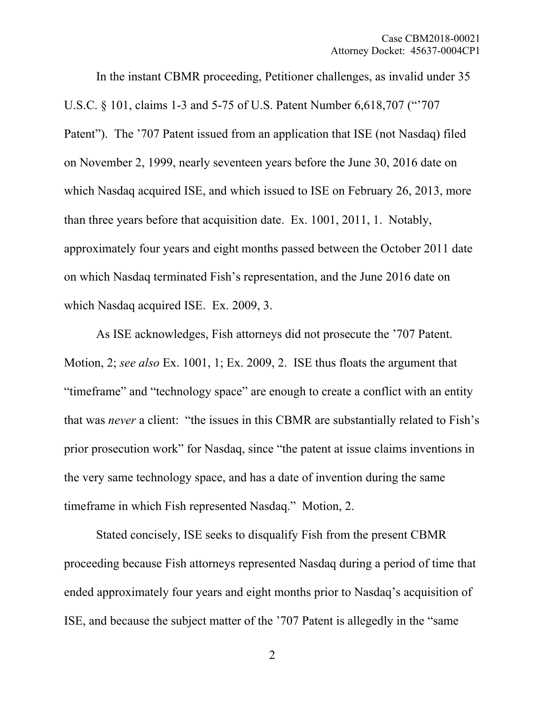In the instant CBMR proceeding, Petitioner challenges, as invalid under 35 U.S.C. § 101, claims 1-3 and 5-75 of U.S. Patent Number 6,618,707 ("'707 Patent"). The '707 Patent issued from an application that ISE (not Nasdaq) filed on November 2, 1999, nearly seventeen years before the June 30, 2016 date on which Nasdaq acquired ISE, and which issued to ISE on February 26, 2013, more than three years before that acquisition date. Ex. 1001, 2011, 1. Notably, approximately four years and eight months passed between the October 2011 date on which Nasdaq terminated Fish's representation, and the June 2016 date on which Nasdaq acquired ISE. Ex. 2009, 3.

As ISE acknowledges, Fish attorneys did not prosecute the '707 Patent. Motion, 2; *see also* Ex. 1001, 1; Ex. 2009, 2. ISE thus floats the argument that "timeframe" and "technology space" are enough to create a conflict with an entity that was *never* a client: "the issues in this CBMR are substantially related to Fish's prior prosecution work" for Nasdaq, since "the patent at issue claims inventions in the very same technology space, and has a date of invention during the same timeframe in which Fish represented Nasdaq." Motion, 2.

Stated concisely, ISE seeks to disqualify Fish from the present CBMR proceeding because Fish attorneys represented Nasdaq during a period of time that ended approximately four years and eight months prior to Nasdaq's acquisition of ISE, and because the subject matter of the '707 Patent is allegedly in the "same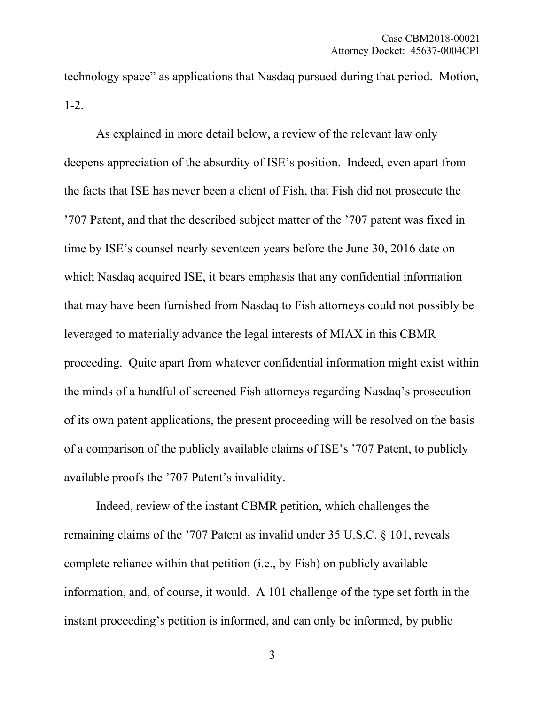technology space" as applications that Nasdaq pursued during that period. Motion, 1-2.

As explained in more detail below, a review of the relevant law only deepens appreciation of the absurdity of ISE's position. Indeed, even apart from the facts that ISE has never been a client of Fish, that Fish did not prosecute the '707 Patent, and that the described subject matter of the '707 patent was fixed in time by ISE's counsel nearly seventeen years before the June 30, 2016 date on which Nasdaq acquired ISE, it bears emphasis that any confidential information that may have been furnished from Nasdaq to Fish attorneys could not possibly be leveraged to materially advance the legal interests of MIAX in this CBMR proceeding. Quite apart from whatever confidential information might exist within the minds of a handful of screened Fish attorneys regarding Nasdaq's prosecution of its own patent applications, the present proceeding will be resolved on the basis of a comparison of the publicly available claims of ISE's '707 Patent, to publicly available proofs the '707 Patent's invalidity.

Indeed, review of the instant CBMR petition, which challenges the remaining claims of the '707 Patent as invalid under 35 U.S.C. § 101, reveals complete reliance within that petition (i.e., by Fish) on publicly available information, and, of course, it would. A 101 challenge of the type set forth in the instant proceeding's petition is informed, and can only be informed, by public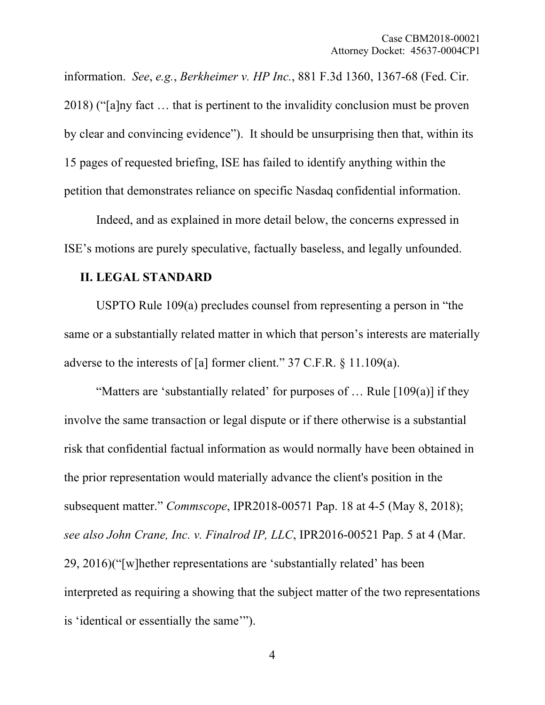information. *See*, *e.g.*, *Berkheimer v. HP Inc.*, 881 F.3d 1360, 1367-68 (Fed. Cir. 2018) ("[a]ny fact … that is pertinent to the invalidity conclusion must be proven by clear and convincing evidence"). It should be unsurprising then that, within its 15 pages of requested briefing, ISE has failed to identify anything within the petition that demonstrates reliance on specific Nasdaq confidential information.

Indeed, and as explained in more detail below, the concerns expressed in ISE's motions are purely speculative, factually baseless, and legally unfounded.

#### **II. LEGAL STANDARD**

USPTO Rule 109(a) precludes counsel from representing a person in "the same or a substantially related matter in which that person's interests are materially adverse to the interests of [a] former client." 37 C.F.R. § 11.109(a).

"Matters are 'substantially related' for purposes of  $\ldots$  Rule [109(a)] if they involve the same transaction or legal dispute or if there otherwise is a substantial risk that confidential factual information as would normally have been obtained in the prior representation would materially advance the client's position in the subsequent matter." *Commscope*, IPR2018-00571 Pap. 18 at 4-5 (May 8, 2018); *see also John Crane, Inc. v. Finalrod IP, LLC*, IPR2016-00521 Pap. 5 at 4 (Mar. 29, 2016)("[w]hether representations are 'substantially related' has been interpreted as requiring a showing that the subject matter of the two representations is 'identical or essentially the same'").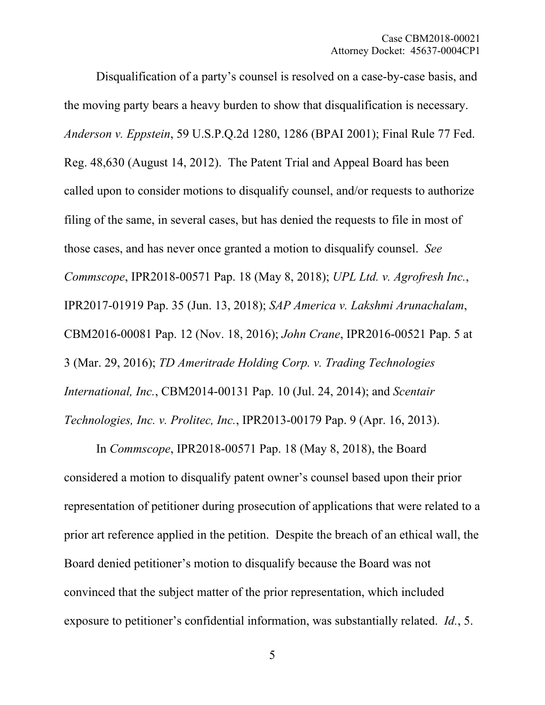Disqualification of a party's counsel is resolved on a case-by-case basis, and the moving party bears a heavy burden to show that disqualification is necessary. *Anderson v. Eppstein*, 59 U.S.P.Q.2d 1280, 1286 (BPAI 2001); Final Rule 77 Fed. Reg. 48,630 (August 14, 2012). The Patent Trial and Appeal Board has been called upon to consider motions to disqualify counsel, and/or requests to authorize filing of the same, in several cases, but has denied the requests to file in most of those cases, and has never once granted a motion to disqualify counsel. *See Commscope*, IPR2018-00571 Pap. 18 (May 8, 2018); *UPL Ltd. v. Agrofresh Inc.*, IPR2017-01919 Pap. 35 (Jun. 13, 2018); *SAP America v. Lakshmi Arunachalam*, CBM2016-00081 Pap. 12 (Nov. 18, 2016); *John Crane*, IPR2016-00521 Pap. 5 at 3 (Mar. 29, 2016); *TD Ameritrade Holding Corp. v. Trading Technologies International, Inc.*, CBM2014-00131 Pap. 10 (Jul. 24, 2014); and *Scentair Technologies, Inc. v. Prolitec, Inc.*, IPR2013-00179 Pap. 9 (Apr. 16, 2013).

In *Commscope*, IPR2018-00571 Pap. 18 (May 8, 2018), the Board considered a motion to disqualify patent owner's counsel based upon their prior representation of petitioner during prosecution of applications that were related to a prior art reference applied in the petition. Despite the breach of an ethical wall, the Board denied petitioner's motion to disqualify because the Board was not convinced that the subject matter of the prior representation, which included exposure to petitioner's confidential information, was substantially related. *Id.*, 5.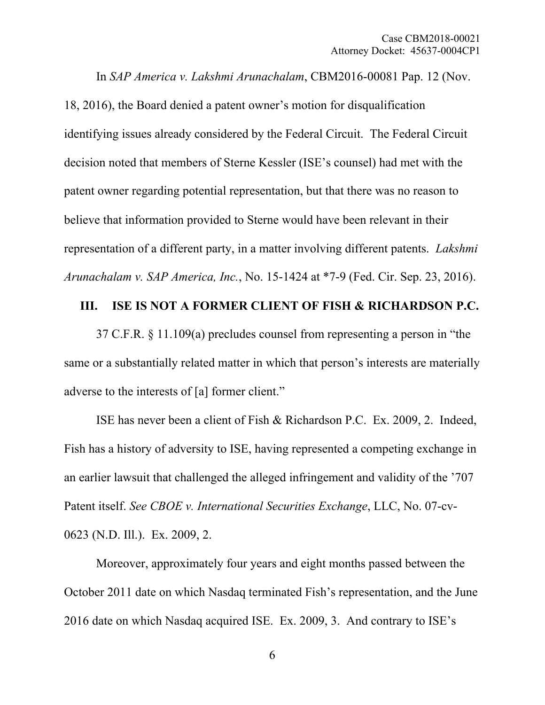In *SAP America v. Lakshmi Arunachalam*, CBM2016-00081 Pap. 12 (Nov.

18, 2016), the Board denied a patent owner's motion for disqualification identifying issues already considered by the Federal Circuit. The Federal Circuit decision noted that members of Sterne Kessler (ISE's counsel) had met with the patent owner regarding potential representation, but that there was no reason to believe that information provided to Sterne would have been relevant in their representation of a different party, in a matter involving different patents. *Lakshmi Arunachalam v. SAP America, Inc.*, No. 15-1424 at \*7-9 (Fed. Cir. Sep. 23, 2016).

### **III. ISE IS NOT A FORMER CLIENT OF FISH & RICHARDSON P.C.**

37 C.F.R. § 11.109(a) precludes counsel from representing a person in "the same or a substantially related matter in which that person's interests are materially adverse to the interests of [a] former client."

ISE has never been a client of Fish & Richardson P.C. Ex. 2009, 2. Indeed, Fish has a history of adversity to ISE, having represented a competing exchange in an earlier lawsuit that challenged the alleged infringement and validity of the '707 Patent itself. *See CBOE v. International Securities Exchange*, LLC, No. 07-cv-0623 (N.D. Ill.). Ex. 2009, 2.

Moreover, approximately four years and eight months passed between the October 2011 date on which Nasdaq terminated Fish's representation, and the June 2016 date on which Nasdaq acquired ISE. Ex. 2009, 3. And contrary to ISE's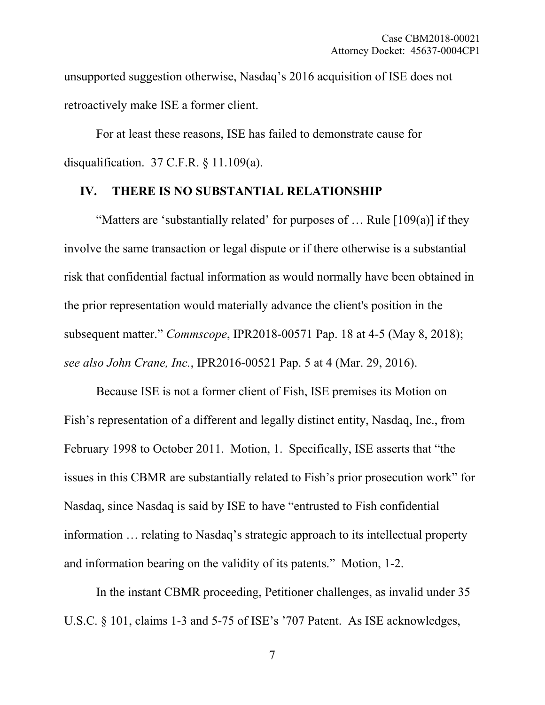unsupported suggestion otherwise, Nasdaq's 2016 acquisition of ISE does not retroactively make ISE a former client.

For at least these reasons, ISE has failed to demonstrate cause for disqualification. 37 C.F.R. § 11.109(a).

#### **IV. THERE IS NO SUBSTANTIAL RELATIONSHIP**

"Matters are 'substantially related' for purposes of  $\ldots$  Rule [109(a)] if they involve the same transaction or legal dispute or if there otherwise is a substantial risk that confidential factual information as would normally have been obtained in the prior representation would materially advance the client's position in the subsequent matter." *Commscope*, IPR2018-00571 Pap. 18 at 4-5 (May 8, 2018); *see also John Crane, Inc.*, IPR2016-00521 Pap. 5 at 4 (Mar. 29, 2016).

Because ISE is not a former client of Fish, ISE premises its Motion on Fish's representation of a different and legally distinct entity, Nasdaq, Inc., from February 1998 to October 2011. Motion, 1. Specifically, ISE asserts that "the issues in this CBMR are substantially related to Fish's prior prosecution work" for Nasdaq, since Nasdaq is said by ISE to have "entrusted to Fish confidential information … relating to Nasdaq's strategic approach to its intellectual property and information bearing on the validity of its patents." Motion, 1-2.

In the instant CBMR proceeding, Petitioner challenges, as invalid under 35 U.S.C. § 101, claims 1-3 and 5-75 of ISE's '707 Patent. As ISE acknowledges,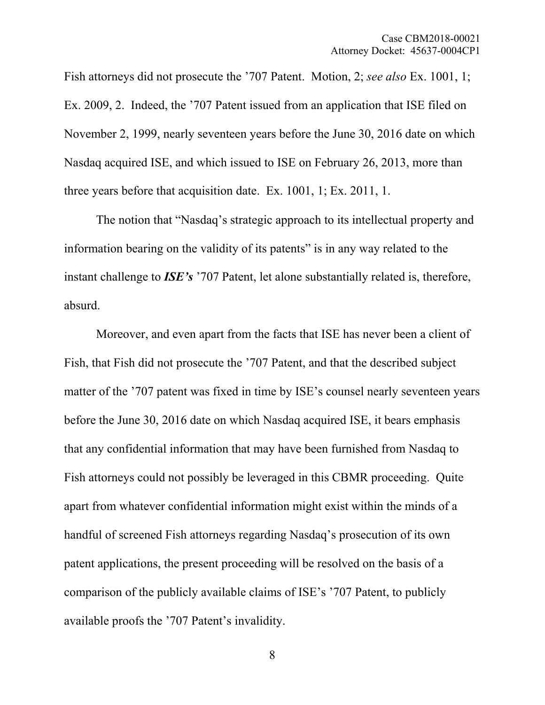Fish attorneys did not prosecute the '707 Patent. Motion, 2; *see also* Ex. 1001, 1; Ex. 2009, 2. Indeed, the '707 Patent issued from an application that ISE filed on November 2, 1999, nearly seventeen years before the June 30, 2016 date on which Nasdaq acquired ISE, and which issued to ISE on February 26, 2013, more than three years before that acquisition date. Ex. 1001, 1; Ex. 2011, 1.

The notion that "Nasdaq's strategic approach to its intellectual property and information bearing on the validity of its patents" is in any way related to the instant challenge to *ISE's* '707 Patent, let alone substantially related is, therefore, absurd.

Moreover, and even apart from the facts that ISE has never been a client of Fish, that Fish did not prosecute the '707 Patent, and that the described subject matter of the '707 patent was fixed in time by ISE's counsel nearly seventeen years before the June 30, 2016 date on which Nasdaq acquired ISE, it bears emphasis that any confidential information that may have been furnished from Nasdaq to Fish attorneys could not possibly be leveraged in this CBMR proceeding. Quite apart from whatever confidential information might exist within the minds of a handful of screened Fish attorneys regarding Nasdaq's prosecution of its own patent applications, the present proceeding will be resolved on the basis of a comparison of the publicly available claims of ISE's '707 Patent, to publicly available proofs the '707 Patent's invalidity.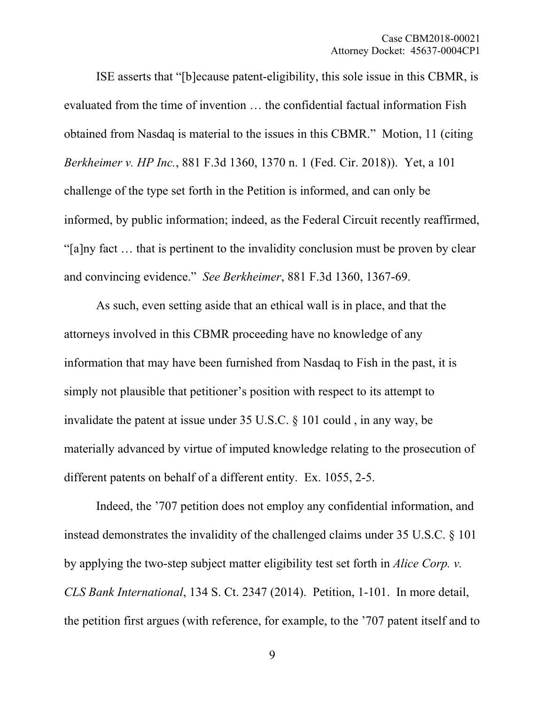ISE asserts that "[b]ecause patent-eligibility, this sole issue in this CBMR, is evaluated from the time of invention … the confidential factual information Fish obtained from Nasdaq is material to the issues in this CBMR." Motion, 11 (citing *Berkheimer v. HP Inc.*, 881 F.3d 1360, 1370 n. 1 (Fed. Cir. 2018)). Yet, a 101 challenge of the type set forth in the Petition is informed, and can only be informed, by public information; indeed, as the Federal Circuit recently reaffirmed, "[a]ny fact … that is pertinent to the invalidity conclusion must be proven by clear and convincing evidence." *See Berkheimer*, 881 F.3d 1360, 1367-69.

As such, even setting aside that an ethical wall is in place, and that the attorneys involved in this CBMR proceeding have no knowledge of any information that may have been furnished from Nasdaq to Fish in the past, it is simply not plausible that petitioner's position with respect to its attempt to invalidate the patent at issue under 35 U.S.C. § 101 could , in any way, be materially advanced by virtue of imputed knowledge relating to the prosecution of different patents on behalf of a different entity. Ex. 1055, 2-5.

Indeed, the '707 petition does not employ any confidential information, and instead demonstrates the invalidity of the challenged claims under 35 U.S.C. § 101 by applying the two-step subject matter eligibility test set forth in *Alice Corp. v. CLS Bank International*, 134 S. Ct. 2347 (2014). Petition, 1-101. In more detail, the petition first argues (with reference, for example, to the '707 patent itself and to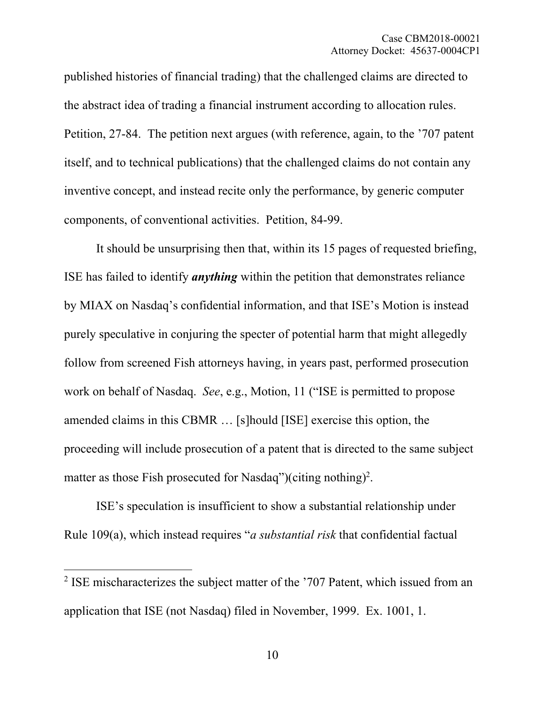published histories of financial trading) that the challenged claims are directed to the abstract idea of trading a financial instrument according to allocation rules. Petition, 27-84. The petition next argues (with reference, again, to the '707 patent itself, and to technical publications) that the challenged claims do not contain any inventive concept, and instead recite only the performance, by generic computer components, of conventional activities. Petition, 84-99.

It should be unsurprising then that, within its 15 pages of requested briefing, ISE has failed to identify *anything* within the petition that demonstrates reliance by MIAX on Nasdaq's confidential information, and that ISE's Motion is instead purely speculative in conjuring the specter of potential harm that might allegedly follow from screened Fish attorneys having, in years past, performed prosecution work on behalf of Nasdaq. *See*, e.g., Motion, 11 ("ISE is permitted to propose amended claims in this CBMR … [s]hould [ISE] exercise this option, the proceeding will include prosecution of a patent that is directed to the same subject matter as those Fish prosecuted for Nasdaq")(citing nothing)<sup>2</sup>.

ISE's speculation is insufficient to show a substantial relationship under Rule 109(a), which instead requires "*a substantial risk* that confidential factual

<sup>&</sup>lt;sup>2</sup> ISE mischaracterizes the subject matter of the '707 Patent, which issued from an application that ISE (not Nasdaq) filed in November, 1999. Ex. 1001, 1.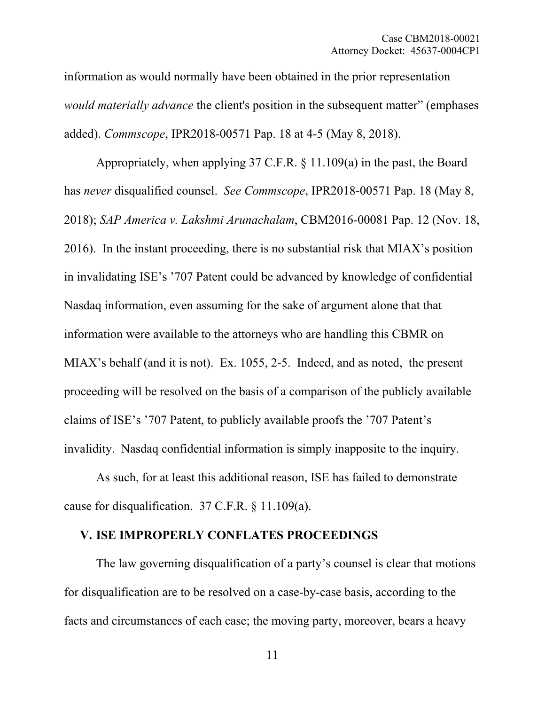information as would normally have been obtained in the prior representation *would materially advance* the client's position in the subsequent matter" (emphases added). *Commscope*, IPR2018-00571 Pap. 18 at 4-5 (May 8, 2018).

Appropriately, when applying 37 C.F.R. § 11.109(a) in the past, the Board has *never* disqualified counsel. *See Commscope*, IPR2018-00571 Pap. 18 (May 8, 2018); *SAP America v. Lakshmi Arunachalam*, CBM2016-00081 Pap. 12 (Nov. 18, 2016). In the instant proceeding, there is no substantial risk that MIAX's position in invalidating ISE's '707 Patent could be advanced by knowledge of confidential Nasdaq information, even assuming for the sake of argument alone that that information were available to the attorneys who are handling this CBMR on MIAX's behalf (and it is not). Ex. 1055, 2-5. Indeed, and as noted, the present proceeding will be resolved on the basis of a comparison of the publicly available claims of ISE's '707 Patent, to publicly available proofs the '707 Patent's invalidity. Nasdaq confidential information is simply inapposite to the inquiry.

As such, for at least this additional reason, ISE has failed to demonstrate cause for disqualification. 37 C.F.R. § 11.109(a).

## **V. ISE IMPROPERLY CONFLATES PROCEEDINGS**

The law governing disqualification of a party's counsel is clear that motions for disqualification are to be resolved on a case-by-case basis, according to the facts and circumstances of each case; the moving party, moreover, bears a heavy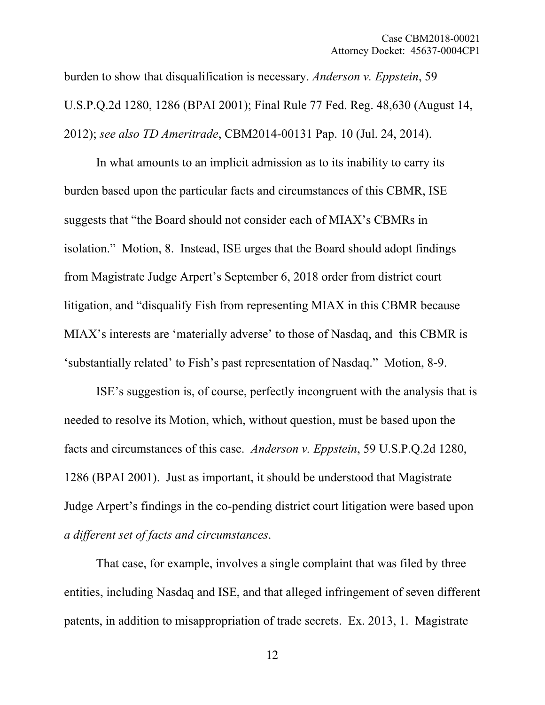burden to show that disqualification is necessary. *Anderson v. Eppstein*, 59 U.S.P.Q.2d 1280, 1286 (BPAI 2001); Final Rule 77 Fed. Reg. 48,630 (August 14, 2012); *see also TD Ameritrade*, CBM2014-00131 Pap. 10 (Jul. 24, 2014).

In what amounts to an implicit admission as to its inability to carry its burden based upon the particular facts and circumstances of this CBMR, ISE suggests that "the Board should not consider each of MIAX's CBMRs in isolation." Motion, 8. Instead, ISE urges that the Board should adopt findings from Magistrate Judge Arpert's September 6, 2018 order from district court litigation, and "disqualify Fish from representing MIAX in this CBMR because MIAX's interests are 'materially adverse' to those of Nasdaq, and this CBMR is 'substantially related' to Fish's past representation of Nasdaq." Motion, 8-9.

ISE's suggestion is, of course, perfectly incongruent with the analysis that is needed to resolve its Motion, which, without question, must be based upon the facts and circumstances of this case. *Anderson v. Eppstein*, 59 U.S.P.Q.2d 1280, 1286 (BPAI 2001). Just as important, it should be understood that Magistrate Judge Arpert's findings in the co-pending district court litigation were based upon *a different set of facts and circumstances*.

That case, for example, involves a single complaint that was filed by three entities, including Nasdaq and ISE, and that alleged infringement of seven different patents, in addition to misappropriation of trade secrets. Ex. 2013, 1. Magistrate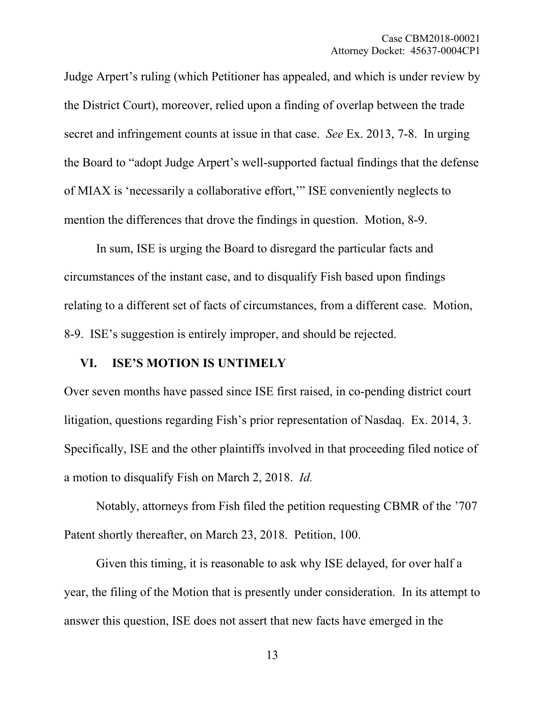Judge Arpert's ruling (which Petitioner has appealed, and which is under review by the District Court), moreover, relied upon a finding of overlap between the trade secret and infringement counts at issue in that case. *See* Ex. 2013, 7-8. In urging the Board to "adopt Judge Arpert's well-supported factual findings that the defense of MIAX is 'necessarily a collaborative effort,'" ISE conveniently neglects to mention the differences that drove the findings in question. Motion, 8-9.

In sum, ISE is urging the Board to disregard the particular facts and circumstances of the instant case, and to disqualify Fish based upon findings relating to a different set of facts of circumstances, from a different case. Motion, 8-9. ISE's suggestion is entirely improper, and should be rejected.

#### **VI. ISE'S MOTION IS UNTIMELY**

Over seven months have passed since ISE first raised, in co-pending district court litigation, questions regarding Fish's prior representation of Nasdaq. Ex. 2014, 3. Specifically, ISE and the other plaintiffs involved in that proceeding filed notice of a motion to disqualify Fish on March 2, 2018. *Id.*

Notably, attorneys from Fish filed the petition requesting CBMR of the '707 Patent shortly thereafter, on March 23, 2018. Petition, 100.

Given this timing, it is reasonable to ask why ISE delayed, for over half a year, the filing of the Motion that is presently under consideration. In its attempt to answer this question, ISE does not assert that new facts have emerged in the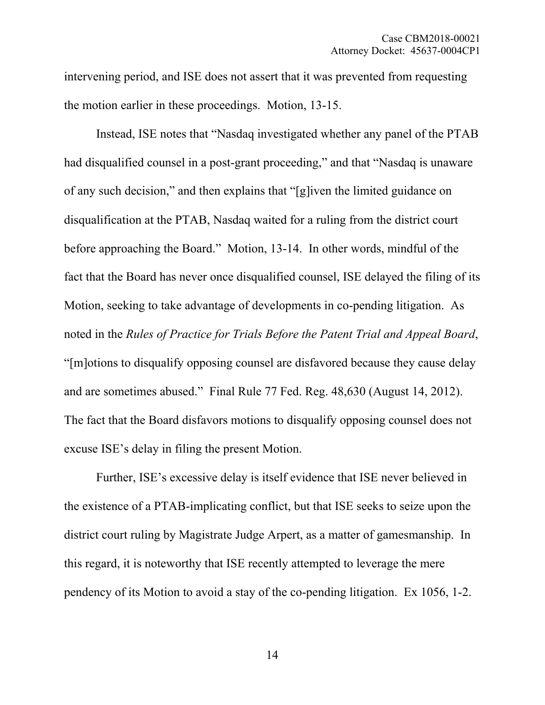intervening period, and ISE does not assert that it was prevented from requesting the motion earlier in these proceedings. Motion, 13-15.

Instead, ISE notes that "Nasdaq investigated whether any panel of the PTAB had disqualified counsel in a post-grant proceeding," and that "Nasdaq is unaware of any such decision," and then explains that "[g]iven the limited guidance on disqualification at the PTAB, Nasdaq waited for a ruling from the district court before approaching the Board." Motion, 13-14. In other words, mindful of the fact that the Board has never once disqualified counsel, ISE delayed the filing of its Motion, seeking to take advantage of developments in co-pending litigation. As noted in the *Rules of Practice for Trials Before the Patent Trial and Appeal Board*, "[m]otions to disqualify opposing counsel are disfavored because they cause delay and are sometimes abused." Final Rule 77 Fed. Reg. 48,630 (August 14, 2012). The fact that the Board disfavors motions to disqualify opposing counsel does not excuse ISE's delay in filing the present Motion.

Further, ISE's excessive delay is itself evidence that ISE never believed in the existence of a PTAB-implicating conflict, but that ISE seeks to seize upon the district court ruling by Magistrate Judge Arpert, as a matter of gamesmanship. In this regard, it is noteworthy that ISE recently attempted to leverage the mere pendency of its Motion to avoid a stay of the co-pending litigation. Ex 1056, 1-2.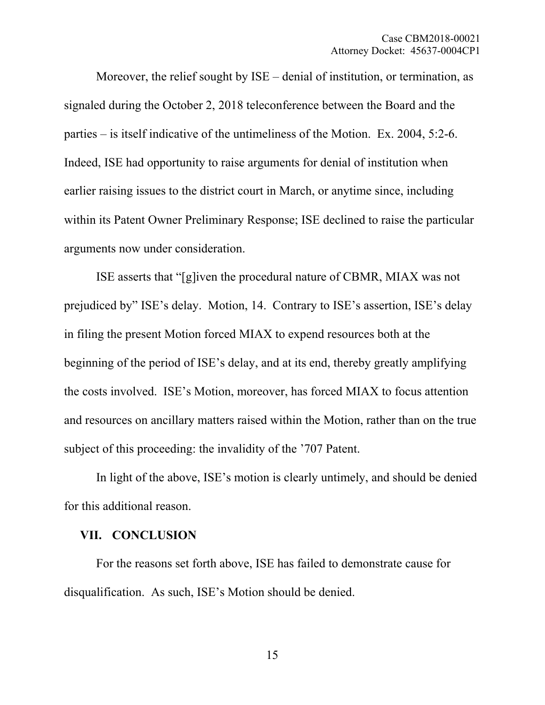Moreover, the relief sought by ISE – denial of institution, or termination, as signaled during the October 2, 2018 teleconference between the Board and the parties – is itself indicative of the untimeliness of the Motion. Ex. 2004, 5:2-6. Indeed, ISE had opportunity to raise arguments for denial of institution when earlier raising issues to the district court in March, or anytime since, including within its Patent Owner Preliminary Response; ISE declined to raise the particular arguments now under consideration.

ISE asserts that "[g]iven the procedural nature of CBMR, MIAX was not prejudiced by" ISE's delay. Motion, 14. Contrary to ISE's assertion, ISE's delay in filing the present Motion forced MIAX to expend resources both at the beginning of the period of ISE's delay, and at its end, thereby greatly amplifying the costs involved. ISE's Motion, moreover, has forced MIAX to focus attention and resources on ancillary matters raised within the Motion, rather than on the true subject of this proceeding: the invalidity of the '707 Patent.

In light of the above, ISE's motion is clearly untimely, and should be denied for this additional reason.

## **VII. CONCLUSION**

For the reasons set forth above, ISE has failed to demonstrate cause for disqualification. As such, ISE's Motion should be denied.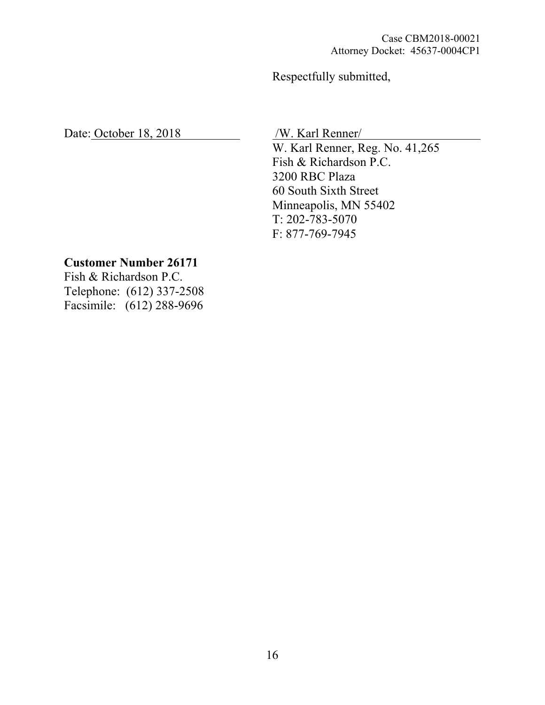Respectfully submitted,

Date: October 18, 2018 /W. Karl Renner/

 W. Karl Renner, Reg. No. 41,265 Fish & Richardson P.C. 3200 RBC Plaza 60 South Sixth Street Minneapolis, MN 55402 T: 202-783-5070 F: 877-769-7945

# **Customer Number 26171**

Fish & Richardson P.C. Telephone: (612) 337-2508 Facsimile: (612) 288-9696